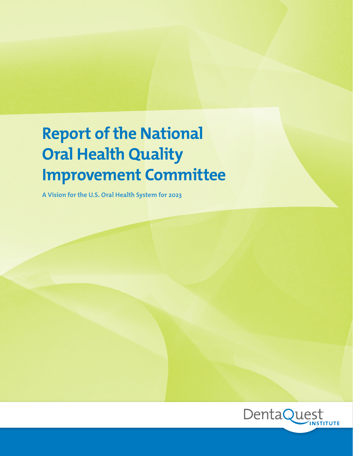# **Report of the National Oral Health Quality Improvement Committee**

**A Vision for the U.S. Oral Health System for 2023**

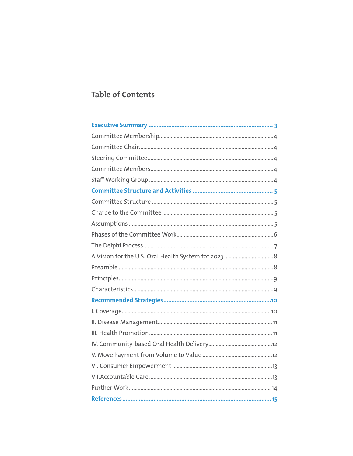# **Table of Contents**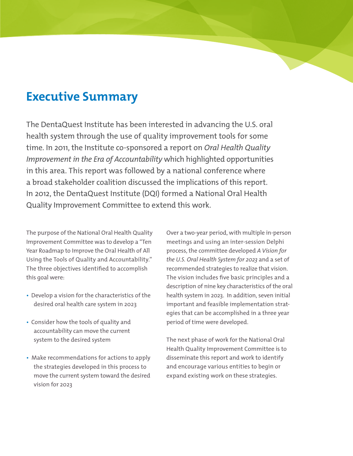# **Executive Summary**

The DentaQuest Institute has been interested in advancing the U.S. oral health system through the use of quality improvement tools for some time. In 2011, the Institute co-sponsored a report on *Oral Health Quality Improvement in the Era of Accountability* which highlighted opportunities in this area. This report was followed by a national conference where a broad stakeholder coalition discussed the implications of this report. In 2012, the DentaQuest Institute (DQI) formed a National Oral Health Quality Improvement Committee to extend this work.

The purpose of the National Oral Health Quality Improvement Committee was to develop a "Ten Year Roadmap to Improve the Oral Health of All Using the Tools of Quality and Accountability." The three objectives identified to accomplish this goal were:

- Develop a vision for the characteristics of the desired oral health care system in 2023
- Consider how the tools of quality and accountability can move the current system to the desired system
- Make recommendations for actions to apply the strategies developed in this process to move the current system toward the desired vision for 2023

Over a two-year period, with multiple in-person meetings and using an inter-session Delphi process, the committee developed *A Vision for the U.S. Oral Health System for 2023* and a set of recommended strategies to realize that vision. The vision includes five basic principles and a description of nine key characteristics of the oral health system in 2023. In addition, seven initial important and feasible implementation strategies that can be accomplished in a three year period of time were developed.

The next phase of work for the National Oral Health Quality Improvement Committee is to disseminate this report and work to identify and encourage various entities to begin or expand existing work on these strategies.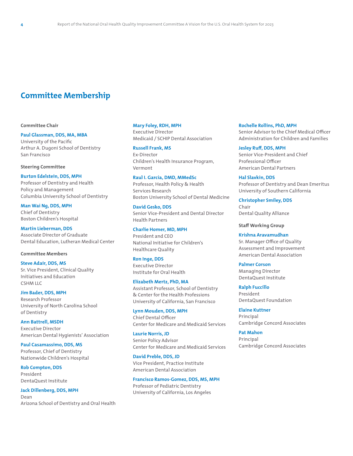# **Committee Membership**

#### **Committee Chair**

#### **Paul Glassman, DDS, MA, MBA**

University of the Pacific Arthur A. Dugoni School of Dentistry San Francisco

#### **Steering Committee**

#### **Burton Edelstein, DDS, MPH** Professor of Dentistry and Health Policy and Management Columbia University School of Dentistry

**Man Wai Ng, DDS, MPH** Chief of Dentistry Boston Children's Hospital

**Martin Lieberman, DDS** Associate Director of Graduate Dental Education, Lutheran Medical Center

#### **Committee Members**

**Steve Adair, DDS, MS** Sr. Vice President, Clinical Quality Initiatives and Education CSHM LLC

**Jim Bader, DDS, MPH** Research Professor University of North Carolina School of Dentistry

**Ann Battrell, MSDH** Executive Director American Dental Hygienists' Association

#### **Paul Casamassimo, DDS, MS** Professor, Chief of Dentistry Nationwide Children's Hospital

**Rob Compton, DDS** President DentaQuest Institute

**Jack Dillenberg, DDS, MPH** Dean Arizona School of Dentistry and Oral Health

#### **Mary Foley, RDH, MPH**

Executive Director Medicaid / SCHIP Dental Association

**Russell Frank, MS** Ex-Director Children's Health Insurance Program, Vermont

**Raul I. Garcia, DMD, MMedSc** Professor, Health Policy & Health Services Research Boston University School of Dental Medicine

**David Gesko, DDS** Senior Vice-President and Dental Director Health Partners

#### **Charlie Homer, MD, MPH**

President and CEO National Initiative for Children's Healthcare Quality

#### **Ron Inge, DDS**

Executive Director Institute for Oral Health

#### **Elizabeth Mertz, PhD, MA**

Assistant Professor, School of Dentistry & Center for the Health Professions University of California, San Francisco

#### **Lynn Mouden, DDS, MPH**

Chief Dental Officer Center for Medicare and Medicaid Services

**Laurie Norris, JD** Senior Policy Advisor Center for Medicare and Medicaid Services

**David Preble, DDS, JD** Vice President, Practice Institute American Dental Association

#### **Francisco Ramos-Gomez, DDS, MS, MPH**

Professor of Pediatric Dentistry University of California, Los Angeles

#### **Rochelle Rollins, PhD, MPH** Senior Advisor to the Chief Medical Officer Administration for Children and Families

**Jesley Ruff, DDS, MPH** Senior Vice-President and Chief Professional Officer American Dental Partners

**Hal Slavkin, DDS** Professor of Dentistry and Dean Emeritus University of Southern California

**Christopher Smiley, DDS** Chair Dental Quality Alliance

**Staff Working Group**

**Krishna Aravamudhan** Sr. Manager Office of Quality Assessment and Improvement American Dental Association

**Palmer Corson** Managing Director DentaQuest Institute

**Ralph Fuccillo** President DentaQuest Foundation

**Elaine Kuttner** Principal Cambridge Concord Associates

**Pat Mahon** Principal Cambridge Concord Associates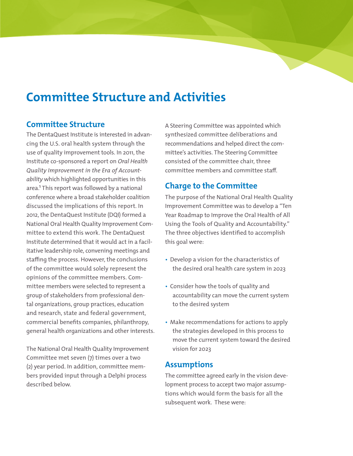# **Committee Structure and Activities**

# **Committee Structure**

The DentaQuest Institute is interested in advancing the U.S. oral health system through the use of quality improvement tools. In 2011, the Institute co-sponsored a report on *Oral Health Quality Improvement in the Era of Accountability* which highlighted opportunities in this area.<sup>1</sup> This report was followed by a national conference where a broad stakeholder coalition discussed the implications of this report. In 2012, the DentaQuest Institute (DQI) formed a National Oral Health Quality Improvement Committee to extend this work. The DentaQuest Institute determined that it would act in a facilitative leadership role, convening meetings and staffing the process. However, the conclusions of the committee would solely represent the opinions of the committee members. Committee members were selected to represent a group of stakeholders from professional dental organizations, group practices, education and research, state and federal government, commercial benefits companies, philanthropy, general health organizations and other interests.

The National Oral Health Quality Improvement Committee met seven (7) times over a two (2) year period. In addition, committee members provided input through a Delphi process described below.

A Steering Committee was appointed which synthesized committee deliberations and recommendations and helped direct the committee's activities. The Steering Committee consisted of the committee chair, three committee members and committee staff.

# **Charge to the Committee**

The purpose of the National Oral Health Quality Improvement Committee was to develop a "Ten Year Roadmap to Improve the Oral Health of All Using the Tools of Quality and Accountability." The three objectives identified to accomplish this goal were:

- Develop a vision for the characteristics of the desired oral health care system in 2023
- Consider how the tools of quality and accountability can move the current system to the desired system
- Make recommendations for actions to apply the strategies developed in this process to move the current system toward the desired vision for 2023

# **Assumptions**

The committee agreed early in the vision development process to accept two major assumptions which would form the basis for all the subsequent work. These were: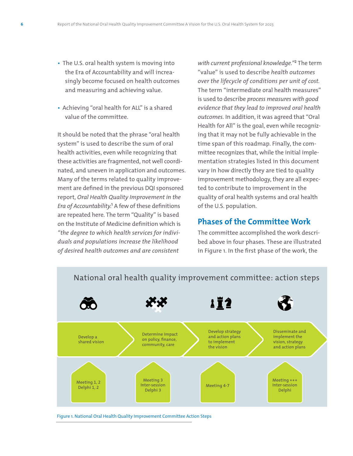- The U.S. oral health system is moving into the Era of Accountability and will increasingly become focused on health outcomes and measuring and achieving value.
- Achieving "oral health for ALL" is a shared value of the committee.

It should be noted that the phrase "oral health system" is used to describe the sum of oral health activities, even while recognizing that these activities are fragmented, not well coordinated, and uneven in application and outcomes. Many of the terms related to quality improvement are defined in the previous DQI sponsored report, *Oral Health Quality Improvement in the Era of Accountability.*<sup>1</sup> A few of these definitions are repeated here. The term "Quality" is based on the Institute of Medicine definition which is *"the degree to which health services for individuals and populations increase the likelihood of desired health outcomes and are consistent* 

*with current professional knowledge."*² The term "value" is used to describe *health outcomes over the lifecycle of conditions per unit of cost.* The term "intermediate oral health measures" is used to describe *process measures with good evidence that they lead to improved oral health outcomes.* In addition, it was agreed that "Oral Health for All" is the goal, even while recognizing that it may not be fully achievable in the time span of this roadmap. Finally, the committee recognizes that, while the initial implementation strategies listed in this document vary in how directly they are tied to quality improvement methodology, they are all expected to contribute to improvement in the quality of oral health systems and oral health of the U.S. population.

### **Phases of the Committee Work**

The committee accomplished the work described above in four phases. These are illustrated in Figure 1. In the first phase of the work, the



National oral health quality improvement committee: action steps

Figure 1. National Oral Health Quality Improvement Committee Action Steps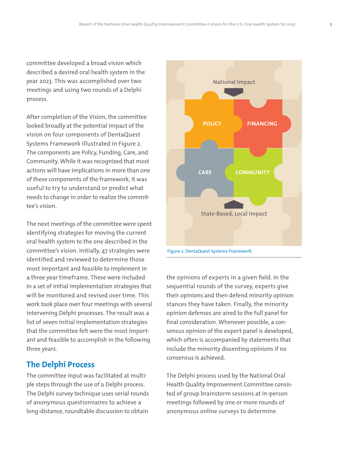committee developed a broad vision which described a desired oral health system in the year 2023. This was accomplished over two meetings and using two rounds of a Delphi process.

After completion of the Vision, the committee looked broadly at the potential impact of the vision on four components of DentaQuest Systems Framework illustrated in Figure 2. The components are Policy, Funding, Care, and Community. While it was recognized that most actions will have implications in more than one of these components of the framework, it was useful to try to understand or predict what needs to change in order to realize the committee's vision.

The next meetings of the committee were spent identifying strategies for moving the current oral health system to the one described in the committee's vision. Initially, 47 strategies were identified and reviewed to determine those most important and feasible to implement in a three year timeframe. These were included in a set of initial implementation strategies that will be monitored and revised over time. This work took place over four meetings with several intervening Delphi processes. The result was a list of seven initial implementation strategies that the committee felt were the most important and feasible to accomplish in the following three years.

# **The Delphi Process**

The committee input was facilitated at multiple steps through the use of a Delphi process. The Delphi survey technique uses serial rounds of anonymous questionnaires to achieve a long-distance, roundtable discussion to obtain



the opinions of experts in a given field. In the sequential rounds of the survey, experts give their opinions and then defend minority opinion stances they have taken. Finally, the minority opinion defenses are aired to the full panel for final consideration. Whenever possible, a consensus opinion of the expert panel is developed, which often is accompanied by statements that include the minority dissenting opinions if no consensus is achieved.

The Delphi process used by the National Oral Health Quality Improvement Committee consisted of group brainstorm sessions at in-person meetings followed by one or more rounds of anonymous online surveys to determine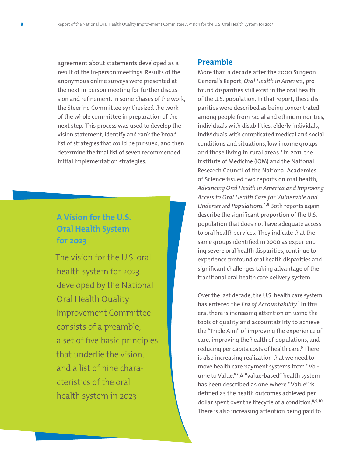agreement about statements developed as a result of the in-person meetings. Results of the anonymous online surveys were presented at the next in-person meeting for further discussion and refinement. In some phases of the work, the Steering Committee synthesized the work of the whole committee in preparation of the next step. This process was used to develop the vision statement, identify and rank the broad list of strategies that could be pursued, and then determine the final list of seven recommended initial implementation strategies.

# **A Vision for the U.S. Oral Health System for 2023**

The vision for the U.S. oral health system for 2023 developed by the National Oral Health Quality Improvement Committee consists of a preamble, a set of five basic principles that underlie the vision, and a list of nine characteristics of the oral health system in 2023

### **Preamble**

More than a decade after the 2000 Surgeon General's Report, *Oral Health in America*, profound disparities still exist in the oral health of the U.S. population. In that report, these disparities were described as being concentrated among people from racial and ethnic minorities, individuals with disabilities, elderly individals, individuals with complicated medical and social conditions and situations, low income groups and those living in rural areas.<sup>3</sup> In 2011, the Institute of Medicine (IOM) and the National Research Council of the National Academies of Science issued two reports on oral health, *Advancing Oral Health in America and Improving Access to Oral Health Care for Vulnerable and Underserved Populations.<sup>4,5</sup>* Both reports again describe the significant proportion of the U.S. population that does not have adequate access to oral health services. They indicate that the same groups identified in 2000 as experiencing severe oral health disparities, continue to experience profound oral health disparities and significant challenges taking advantage of the traditional oral health care delivery system.

Over the last decade, the U.S. health care system has entered the *Era of Accountability*.<sup>1</sup> In this era, there is increasing attention on using the tools of quality and accountability to achieve the "Triple Aim" of improving the experience of care, improving the health of populations, and reducing per capita costs of health care.<sup>6</sup> There is also increasing realization that we need to move health care payment systems from "Volume to Value."<sup>7</sup> A "value-based" health system has been described as one where "Value" is defined as the health outcomes achieved per dollar spent over the lifecycle of a condition.<sup>8,9,10</sup> There is also increasing attention being paid to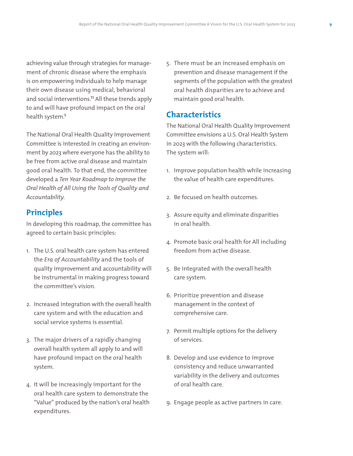achieving value through strategies for management of chronic disease where the emphasis is on empowering individuals to help manage their own disease using medical, behavioral and social interventions.<sup>11</sup> All these trends apply to and will have profound impact on the oral health system.<sup>5</sup>

The National Oral Health Quality Improvement Committee is interested in creating an environment by 2023 where everyone has the ability to be free from active oral disease and maintain good oral health. To that end, the committee developed a *Ten Year Roadmap to Improve the Oral Health of All Using the Tools of Quality and Accountability.* 

# **Principles**

In developing this roadmap, the committee has agreed to certain basic principles:

- 1. The U.S. oral health care system has entered the *Era of Accountability* and the tools of quality improvement and accountability will be instrumental in making progress toward the committee's vision.
- 2. Increased integration with the overall health care system and with the education and social service systems is essential.
- 3. The major drivers of a rapidly changing overall health system all apply to and will have profound impact on the oral health system.
- 4. It will be increasingly important for the oral health care system to demonstrate the "Value" produced by the nation's oral health expenditures.

5. There must be an increased emphasis on prevention and disease management if the segments of the population with the greatest oral health disparities are to achieve and maintain good oral health.

# **Characteristics**

The National Oral Health Quality Improvement Committee envisions a U.S. Oral Health System in 2023 with the following characteristics. The system will:

- 1. Improve population health while increasing the value of health care expenditures.
- 2. Be focused on health outcomes.
- 3. Assure equity and eliminate disparities in oral health.
- 4. Promote basic oral health for All including freedom from active disease.
- 5. Be integrated with the overall health care system.
- 6. Prioritize prevention and disease management in the context of comprehensive care.
- 7. Permit multiple options for the delivery of services.
- 8. Develop and use evidence to improve consistency and reduce unwarranted variability in the delivery and outcomes of oral health care.
- 9. Engage people as active partners in care.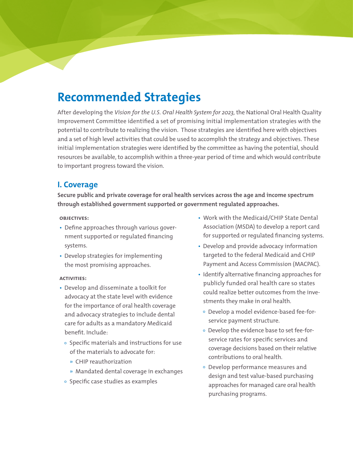# **Recommended Strategies**

After developing the *Vision for the U.S. Oral Health System for 2023,* the National Oral Health Quality Improvement Committee identified a set of promising initial implementation strategies with the potential to contribute to realizing the vision. Those strategies are identified here with objectives and a set of high level activities that could be used to accomplish the strategy and objectives. These initial implementation strategies were identified by the committee as having the potential, should resources be available, to accomplish within a three-year period of time and which would contribute to important progress toward the vision.

## **I. Coverage**

**Secure public and private coverage for oral health services across the age and income spectrum through established government supported or government regulated approaches.**

#### **objectives:**

- Define approaches through various government supported or regulated financing systems.
- Develop strategies for implementing the most promising approaches.

- Develop and disseminate a toolkit for advocacy at the state level with evidence for the importance of oral health coverage and advocacy strategies to include dental care for adults as a mandatory Medicaid benefit. Include:
	- $\circ$  Specific materials and instructions for use of the materials to advocate for:
		- » CHIP reauthorization
		- » Mandated dental coverage in exchanges
	- $\circ$  Specific case studies as examples
- Work with the Medicaid/CHIP State Dental Association (MSDA) to develop a report card for supported or regulated financing systems.
- Develop and provide advocacy information targeted to the federal Medicaid and CHIP Payment and Access Commission (MACPAC).
- Identify alternative financing approaches for publicly funded oral health care so states could realize better outcomes from the investments they make in oral health.
	- Develop a model evidence-based fee-forservice payment structure.
	- Develop the evidence base to set fee-forservice rates for specific services and coverage decisions based on their relative contributions to oral health.
	- Develop performance measures and design and test value-based purchasing approaches for managed care oral health purchasing programs.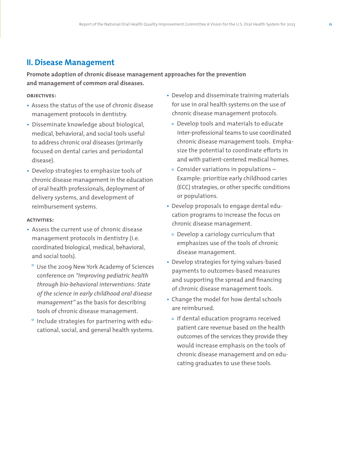# **II. Disease Management**

**Promote adoption of chronic disease management approaches for the prevention and management of common oral diseases.**

#### **objectives:**

- Assess the status of the use of chronic disease management protocols in dentistry.
- Disseminate knowledge about biological, medical, behavioral, and social tools useful to address chronic oral diseases (primarily focused on dental caries and periodontal disease).
- Develop strategies to emphasize tools of chronic disease management in the education of oral health professionals, deployment of delivery systems, and development of reimbursement systems.

- Assess the current use of chronic disease management protocols in dentistry (i.e. coordinated biological, medical, behavioral, and social tools).
	- Use the 2009 New York Academy of Sciences conference on *"Improving pediatric health through bio-behavioral interventions: State of the science in early childhood oral disease management"* as the basis for describing tools of chronic disease management.
	- $\degree$  Include strategies for partnering with educational, social, and general health systems.
- Develop and disseminate training materials for use in oral health systems on the use of chronic disease management protocols.
	- Develop tools and materials to educate inter-professional teams to use coordinated chronic disease management tools. Emphasize the potential to coordinate efforts in and with patient-centered medical homes.
	- $\circ$  Consider variations in populations -Example: prioritize early childhood caries (ECC) strategies, or other specific conditions or populations.
- Develop proposals to engage dental education programs to increase the focus on chronic disease management.
	- Develop a cariology curriculum that emphasizes use of the tools of chronic disease management.
- Develop strategies for tying values-based payments to outcomes-based measures and supporting the spread and financing of chronic disease management tools.
- Change the model for how dental schools are reimbursed.
	- o If dental education programs received patient care revenue based on the health outcomes of the services they provide they would increase emphasis on the tools of chronic disease management and on educating graduates to use these tools.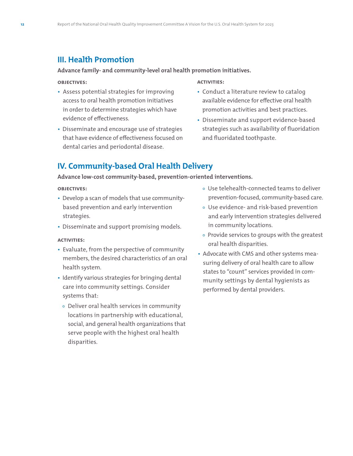# **III. Health Promotion**

### **Advance family- and community-level oral health promotion initiatives.**

#### **objectives:**

- Assess potential strategies for improving access to oral health promotion initiatives in order to determine strategies which have evidence of effectiveness.
- Disseminate and encourage use of strategies that have evidence of effectiveness focused on dental caries and periodontal disease.

#### **activities:**

- Conduct a literature review to catalog available evidence for effective oral health promotion activities and best practices.
- Disseminate and support evidence-based strategies such as availability of fluoridation and fluoridated toothpaste.

# **IV. Community-based Oral Health Delivery**

#### **Advance low-cost community-based, prevention-oriented interventions.**

#### **objectives:**

- Develop a scan of models that use communitybased prevention and early intervention strategies.
- Disseminate and support promising models.

- Evaluate, from the perspective of community members, the desired characteristics of an oral health system.
- Identify various strategies for bringing dental care into community settings. Consider systems that:
	- Deliver oral health services in community locations in partnership with educational, social, and general health organizations that serve people with the highest oral health disparities.
- Use telehealth-connected teams to deliver prevention-focused, community-based care.
- Use evidence- and risk-based prevention and early intervention strategies delivered in community locations.
- $\circ$  Provide services to groups with the greatest oral health disparities.
- Advocate with CMS and other systems measuring delivery of oral health care to allow states to "count" services provided in community settings by dental hygienists as performed by dental providers.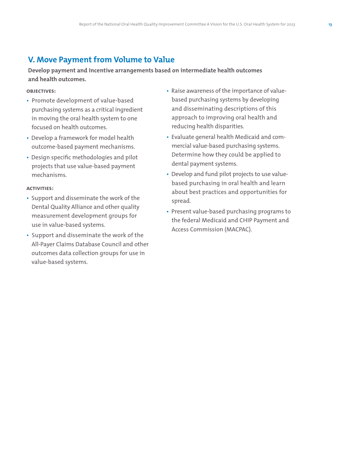# **V. Move Payment from Volume to Value**

**Develop payment and incentive arrangements based on intermediate health outcomes and health outcomes.**

**objectives:**

- Promote development of value-based purchasing systems as a critical ingredient in moving the oral health system to one focused on health outcomes.
- Develop a framework for model health outcome-based payment mechanisms.
- Design specific methodologies and pilot projects that use value-based payment mechanisms.

- Support and disseminate the work of the Dental Quality Alliance and other quality measurement development groups for use in value-based systems.
- Support and disseminate the work of the All-Payer Claims Database Council and other outcomes data collection groups for use in value-based systems.
- Raise awareness of the importance of valuebased purchasing systems by developing and disseminating descriptions of this approach to improving oral health and reducing health disparities.
- Evaluate general health Medicaid and commercial value-based purchasing systems. Determine how they could be applied to dental payment systems.
- Develop and fund pilot projects to use valuebased purchasing in oral health and learn about best practices and opportunities for spread.
- Present value-based purchasing programs to the federal Medicaid and CHIP Payment and Access Commission (MACPAC).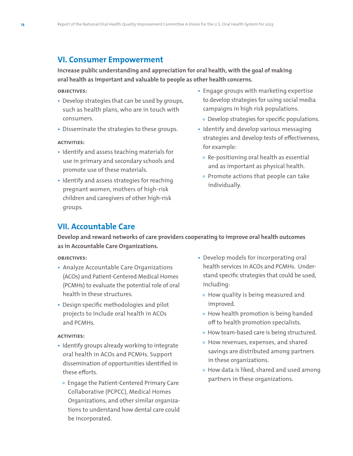## **VI. Consumer Empowerment**

**Increase public understanding and appreciation for oral health, with the goal of making oral health as important and valuable to people as other health concerns.**

#### **objectives:**

- Develop strategies that can be used by groups, such as health plans, who are in touch with consumers.
- Disseminate the strategies to these groups.

#### **activities:**

- Identify and assess teaching materials for use in primary and secondary schools and promote use of these materials.
- Identify and assess strategies for reaching pregnant women, mothers of high-risk children and caregivers of other high-risk groups.
- Engage groups with marketing expertise to develop strategies for using social media campaigns in high risk populations.
	- Develop strategies for specific populations.
- Identify and develop various messaging strategies and develop tests of effectiveness, for example:
	- Re-positioning oral health as essential and as important as physical health.
	- $\circ$  Promote actions that people can take individually.

### **VII. Accountable Care**

**Develop and reward networks of care providers cooperating to improve oral health outcomes as in Accountable Care Organizations.** 

#### **objectives:**

- Analyze Accountable Care Organizations (ACOs) and Patient-Centered Medical Homes (PCMHs) to evaluate the potential role of oral health in these structures.
- Design specific methodologies and pilot projects to include oral health in ACOs and PCMHs.

- Identify groups already working to integrate oral health in ACOs and PCMHs. Support dissemination of opportunities identified in these efforts.
	- o Engage the Patient-Centered Primary Care Collaborative (PCPCC), Medical Homes Organizations, and other similar organizations to understand how dental care could be incorporated.
- Develop models for incorporating oral health services in ACOs and PCMHs. Understand specific strategies that could be used, including:
	- How quality is being measured and improved.
	- How health promotion is being handed off to health promotion specialists.
	- How team-based care is being structured.
	- How revenues, expenses, and shared savings are distributed among partners in these organizations.
	- How data is liked, shared and used among partners in these organizations.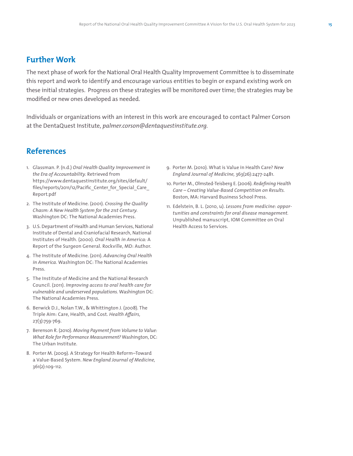### **Further Work**

The next phase of work for the National Oral Health Quality Improvement Committee is to disseminate this report and work to identify and encourage various entities to begin or expand existing work on these initial strategies. Progress on these strategies will be monitored over time; the strategies may be modified or new ones developed as needed.

Individuals or organizations with an interest in this work are encouraged to contact Palmer Corson at the DentaQuest Institute, *palmer.corson@dentaquestinstitute.org.*

# **References**

- 1. Glassman. P. (n.d.) *Oral Health Quality Improvement in the Era of Accountability.* Retrieved from https://www.dentaquestinstitute.org/sites/default/ files/reports/2011/12/Pacific Center for Special Care Report.pdf
- 2. The Institute of Medicine. (2001). *Crossing the Quality Chasm: A New Health System for the 21st Century.* Washington DC: The National Academies Press.
- 3. U.S. Department of Health and Human Services, National Institute of Dental and Craniofacial Research, National Institutes of Health. (2000). *Oral Health in America:* A Report of the Surgeon General. Rockville, MD: Author.
- 4. The Institute of Medicine. (2011). *Advancing Oral Health in America.* Washington DC: The National Academies Press.
- 5. The Institute of Medicine and the National Research Council. (2011). *Improving access to oral health care for vulnerable and underserved populations.* Washington DC: The National Academies Press.
- 6. Berwick D.J., Nolan T.W., & Whittington J. (2008). The Triple Aim: Care, Health, and Cost. *Health Affairs,* 27(3):759-769.
- 7. Berenson R. (2010). *Moving Payment from Volume to Value: What Role for Performance Measurement?* Washington, DC: The Urban Institute.
- 8. Porter M. (2009). A Strategy for Health Reform–Toward a Value-Based System. *New England Journal of Medicine,* 361(2):109-112.
- 9. Porter M. (2010). What is Value in Health Care? *New England Journal of Medicine,* 363(26):2477-2481.
- 10. Porter M., Olmsted-Teisberg E. (2006). *Redefining Health Care – Creating Value-Based Competition on Results.* Boston, MA: Harvard Business School Press.
- 11. Edelstein, B. L. (2010, u). *Lessons from medicine: opportunities and constraints for oral disease management.* Unpublished manuscript, IOM Committee on Oral Health Access to Services.